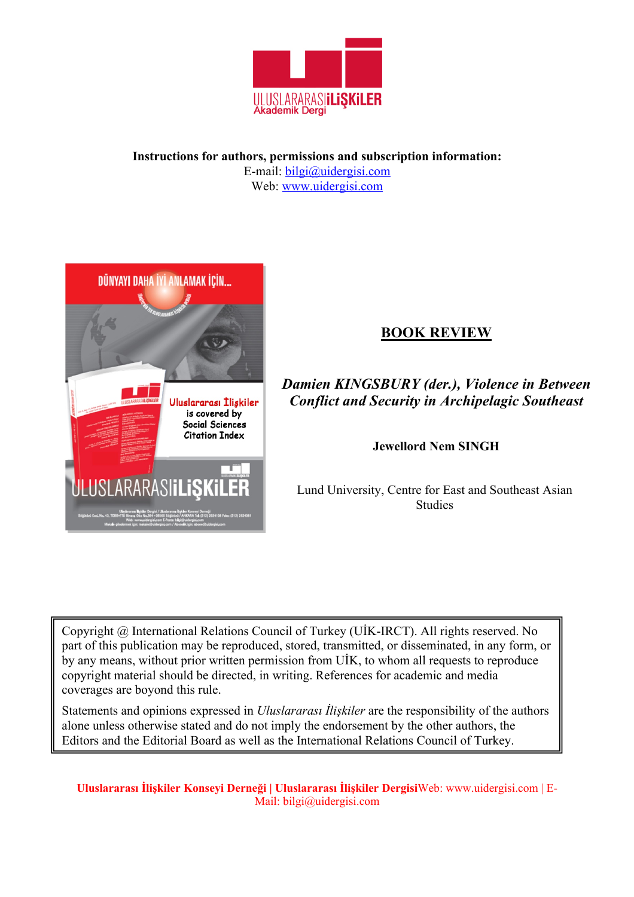

**Instructions for authors, permissions and subscription information:** E-mail: bilgi@uidergisi.com Web: www.uidergisi.com



# **BOOK REVIEW**

*Damien KINGSBURY (der.), Violence in Between Conflict and Security in Archipelagic Southeast*

**Jewellord Nem SINGH**

Lund University, Centre for East and Southeast Asian Studies

Copyright @ International Relations Council of Turkey (UİK-IRCT). All rights reserved. No part of this publication may be reproduced, stored, transmitted, or disseminated, in any form, or by any means, without prior written permission from UİK, to whom all requests to reproduce copyright material should be directed, in writing. References for academic and media coverages are boyond this rule.

Statements and opinions expressed in *Uluslararası İlişkiler* are the responsibility of the authors alone unless otherwise stated and do not imply the endorsement by the other authors, the Editors and the Editorial Board as well as the International Relations Council of Turkey.

**Uluslararası İlişkiler Konseyi Derneği | Uluslararası İlişkiler Dergisi**Web: www.uidergisi.com | E-Mail: bilgi@uidergisi.com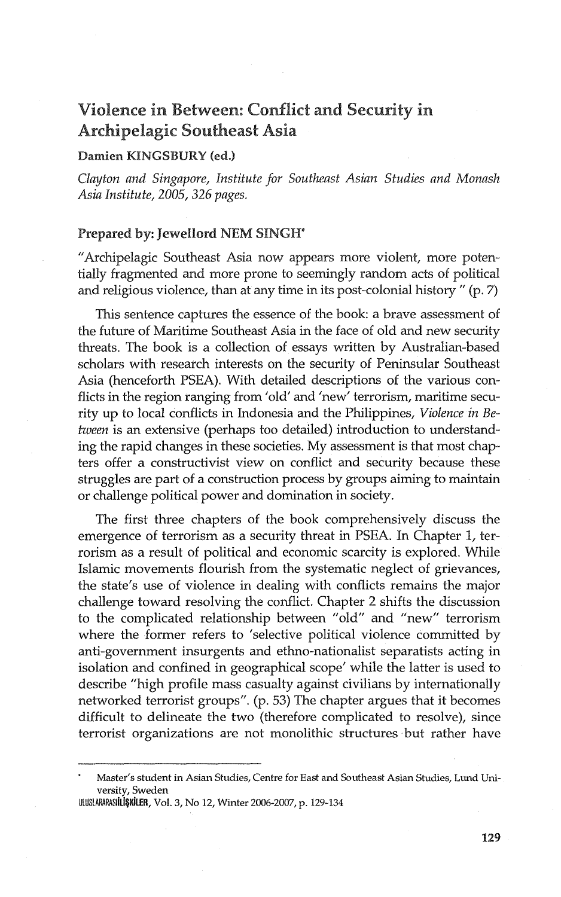## Violence in Between: Conflict and Security in Archipelagic Southeast Asia

## Damien KINGSBURY (ed.)

*Clayton and Singapore, Institute for Southeast Asian Studies and Monash Asia Institute, 2005,* 326 *pages.* 

### Prepared by: Jewellord NEM SINGH\*

"Archipelagic Southeast Asia now appears more violent, more potentially fragmented and more prone to seemingly random acts of political and religious violence, than at any time in its post-colonial history" (p. 7)

This sentence captures the essence of the book: a brave assessment of the future of Maritime Southeast Asia in the face of old and new security threats. The book is a collection of essays written by Australian-based scholars with research interests on the security of Peninsular Southeast Asia (henceforth PSEA). With detailed descriptions of the various conflicts in the region ranging from 'old' and 'new' terrorism, maritime security up to local conflicts in Indonesia and the Philippines, *Violence in Between* is an extensive (perhaps too detailed) introduction to understanding the rapid changes in these societies. My assessment is that most chapters offer a constructivist view on conflict and security because these struggles are part of a construction process by groups aiming to maintain or challenge political power and domination in society.

The first three chapters of the book comprehensively discuss the emergence of terrorism as a security threat in PSEA. In Chapter I, terrorism as a result of political and economic scarcity is explored. While Islamic movements flourish from the systematic neglect of grievances, the state's use of violence in dealing with conflicts remains the major challenge toward resolving the conflict. Chapter 2 shifts the discussion to the complicated relationship between "old" and "new" terrorism where the former refers to 'selective political violence committed by anti-government insurgents and ethno-nationalist separatists acting in isolation and confined in geographical scope' while the latter is used to describe "high profile mass casualty against civilians by internationally networked terrorist groups". (p. 53) The chapter argues that it becomes difficult to delineate the two (therefore complicated to resolve), since terrorist organizations are not monolithic structures· but rather have

UlUSlARARASIILi\$KiLER, Vol. 3, No 12, Winter 2006-2007, p. 129-134

Master's student in Asian Studies, Centre for East and Southeast Asian Studies, Lund University, Sweden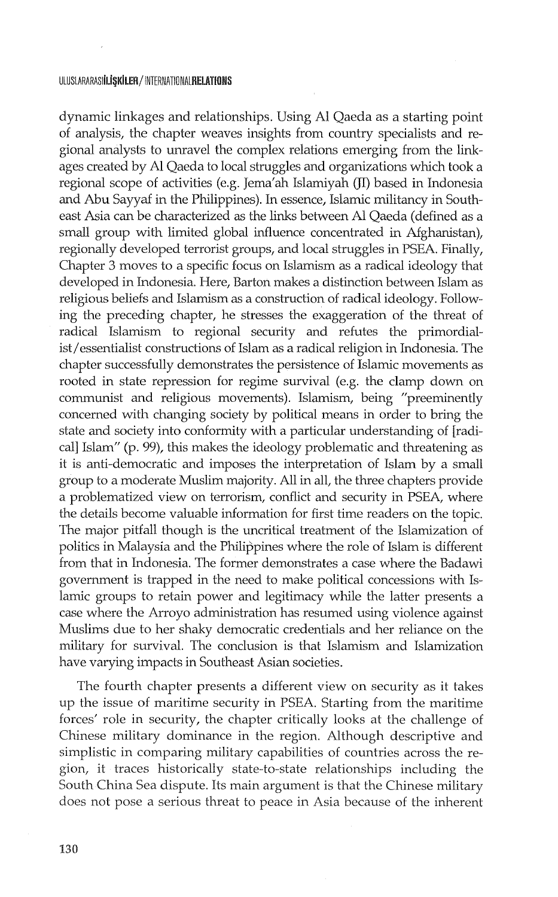#### ULUSLARARASI**iliskiler/InternationalRELATIONS**

dynamic linkages and relationships. Using Al Qaeda as a starting point of analysis, the chapter weaves insights from country specialists and regional analysts to unravel the complex relations emerging from the linkages created by Al Qaeda to local struggles and organizations which took a regional scope of activities (e.g. Jema'ah Islamiyah (JI) based in Indonesia and Abu Sayyaf in the Philippines). In essence, Islamic militancy in Southeast Asia can be characterized as the links between Al Qaeda (defined as a small group with limited global influence concentrated in Afghanistan), regionally developed terrorist groups, and local struggles in PSEA. Finally, Chapter 3 moves to a specific focus on Islamism as a radical ideology that developed in Indonesia. Here, Barton makes a distinction between Islam as religious beliefs and Islamism as a construction of radical ideology. Following the preceding chapter, he stresses the exaggeration of the threat of radical Islamism to regional security and refutes the primordialist/essentialist constructions of Islam as a radical religion in Indonesia. The chapter successfully demonstrates the persistence of Islamic movements as rooted in state repression for regime survival (e.g. the clamp down on communist and religious movements). Islamism, being "preeminently concerned with changing society by political means in order to bring the state and society into conformity with a particular understanding of [radical] Islam" (p. 99), this makes the ideology problematic and threatening as it is anti-democratic and imposes the interpretation of Islam by a small group to a moderate Muslim majority. All in all, the three chapters provide a problematized view on terrorism, conflict and security in PSEA, where the details become valuable information for first time readers on the topic. The major pitfall though is the uncritical treatment of the Islamization of politics in Malaysia and the Philippines where the role of Islam is different from that in Indonesia. The former demonstrates a case where the Badawi government is trapped in the need to make political concessions with Islamic groups to retain power and legitimacy while the latter presents a case where the Arroyo administration has resumed using violence against Muslims due to her shaky democratic credentials and her reliance on the military for survival. The conclusion is that Islamism and Islamization have varying impacts in Southeast Asian societies.

The fourth chapter presents a different view on security as it takes up the issue of maritime security in PSEA. Starting from the maritime forces' role in security, the chapter critically looks at the challenge of Chinese military dominance in the region. Although descriptive and simplistic in comparing military capabilities of countries across the region, it traces historically state-to-state relationships including the South China Sea dispute. Its main argument is that the Chinese military does not pose a serious threat to peace in Asia because of the inherent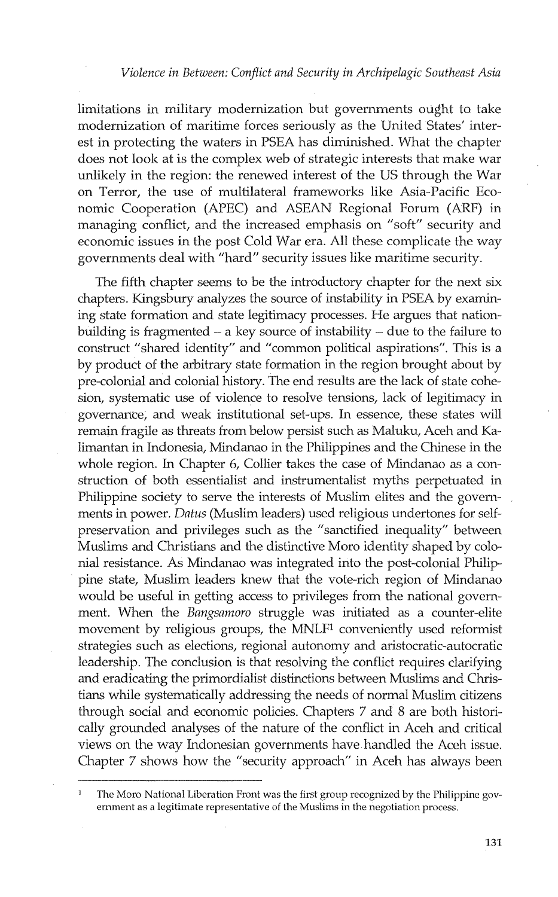limitations in military modernization but governments ought to take modernization of maritime forces seriously as the United States' interest in protecting the waters in PSEA has diminished. What the chapter does not look at is the complex web of strategic interests that make war unlikely in the region: the renewed interest of the US through the War on Terror, the use of multilateral frameworks like Asia-Pacific Economic Cooperation (APEC) and ASEAN Regional Forum (ARF) in managing conflict, and the increased emphasis on "soft" security and economic issues in the post Cold War era. All these complicate the way governments deal with "hard" security issues like maritime security.

The fifth chapter seems to be the introductory chapter for the next six chapters. Kingsbury analyzes the source of instability in PSEA by examining state formation and state legitimacy processes. He argues that nationbuilding is fragmented  $-$  a key source of instability  $-$  due to the failure to construct "shared identity" and "common political aspirations". This is a by product of the arbitrary state formation in the region brought about by pre-colonial and colonial history. The end results are the lack of state cohesion, systematic use of violence to resolve tensions, lack of legitimacy in governance; and weak institutional set-ups. In essence, these states will remain fragile as threats from below persist such as Maluku, Aceh and Kalimantan in Indonesia, Mindanao in the Philippines and the Chinese in the whole region. In Chapter 6, Collier takes the case of Mindanao as a construction of both essentialist and instrumentalist myths perpetuated in Philippine society to serve the interests of Muslim elites and the governments in power. *Datus* (Muslim leaders) used religious undertones for selfpreservation and privileges such as the "sanctified inequality" between Muslims and Christians and the distinctive Moro identity shaped by colonial resistance. As Mindanao was integrated into the post-colonial Philippine state, Muslim leaders knew that the vote-rich region of Mindanao would be useful in getting access to privileges from the national government. When the *Bangsamoro* struggle was initiated as a counter-elite movement by religious groups, the MNLFl conveniently used reformist strategies such as elections, regional autonomy and aristocratic-autocratic leadership. The conclusion is that resolving the conflict requires clarifying and eradicating the primordialist distinctions between Muslims and Christians while systematically addressing the needs of normal Muslim citizens through social and economic policies. Chapters 7 and 8 are both historically grounded analyses of the nature of the conflict in Aceh and critical views on the way Indonesian governments have handled the Aceh issue. Chapter 7 shows how the "security approach" in Aceh has always been

The Moro National Liberation Front was the first group recognized by the Philippine government as a legitimate representative of the Muslims in the negotiation process.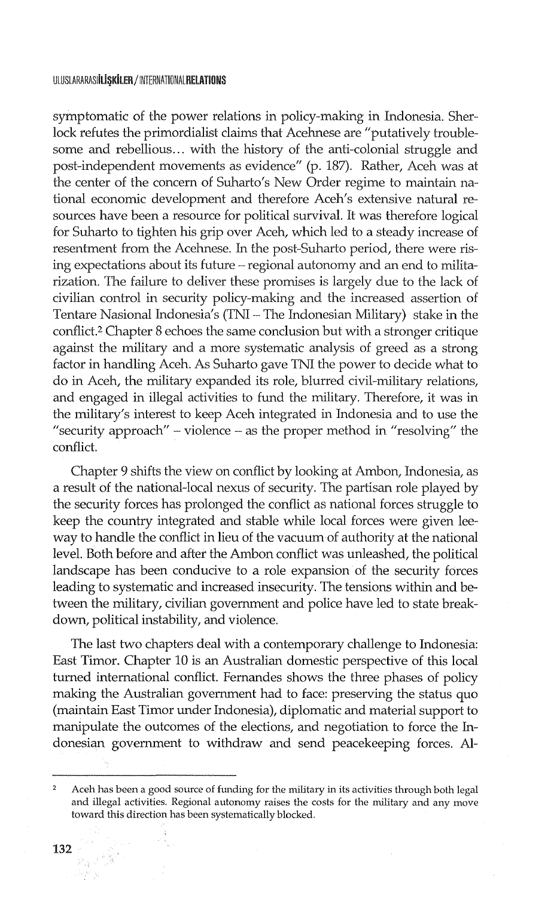symptomatic of the power relations in policy-making in Indonesia. Sherlock refutes the primordialist claims that Acehnese are "putatively troublesome and rebellious... with the history of the anti-colonial struggle and post-independent movements as evidence" (p. 187). Rather, Aceh was at the center of the concern of Suharto's New Order regime to maintain national economic development and therefore Aceh's extensive natural resources have been a resource for political survival. It was therefore logical for Suharto to tighten his grip over Aceh, which led to a steady increase of resentment from the Acehnese. In the post-Suharto period, there were rising expectations about its future – regional autonomy and an end to militarization. The failure to deliver these promises is largely due to the lack of civilian control in security policy-making and the increased assertion of Tentare Nasional Indonesia's (TNI - The Indonesian Military) stake in the conflict.2 Chapter 8 echoes the same conclusion but with a stronger critique against the military and a more systematic analysis of greed as a strong factor in handling Aceh. As Suharto gave TNI the power to decide what to do in Aceh, the military expanded its role, blurred civil-military relations, and engaged in illegal activities to fund the military. Therefore, it was in the military's interest to keep Aceh integrated in Indonesia and to use the "security approach" – violence – as the proper method in "resolving" the conflict.

Chapter 9 shifts the view on conflict by looking at Ambon, Indonesia, as a result of the national-local nexus of security. The partisan role played by the security forces has prolonged the conflict as national forces struggle to keep the country integrated and stable while local forces were given leeway to handle the conflict in lieu of the vacuum of authority at the national level. Both before and after the Ambon conflict was unleashed, the political landscape has been conducive to a role expansion of the security forces leading to systematic and increased insecurity. The tensions within and between the military, civilian government and police have led to state breakdown, political instability, and violence.

The last two chapters deal with a contemporary challenge to Indonesia: East Timor. Chapter 10 is an Australian domestic perspective of this local turned international conflict. Fernandes shows the three phases of policy making the Australian government had to face: preserving the status quo (maintain East Timor under Indonesia), diplomatic and material support to manipulate the outcomes of the elections, and negotiation to force the Indonesian government to withdraw and send peacekeeping forces. Al-

 $\mathcal{P}_{\mathcal{A}}\subset\mathcal{I}$  $\mathcal{A}=\mathcal{B}^{\perp}$  , we

 $\overline{2}$ Aceh has been a good source of funding for the military in its activities through both legal and illegal activities. Regional autonomy raises the costs for the military and any move toward this direction has been systematically blocked.